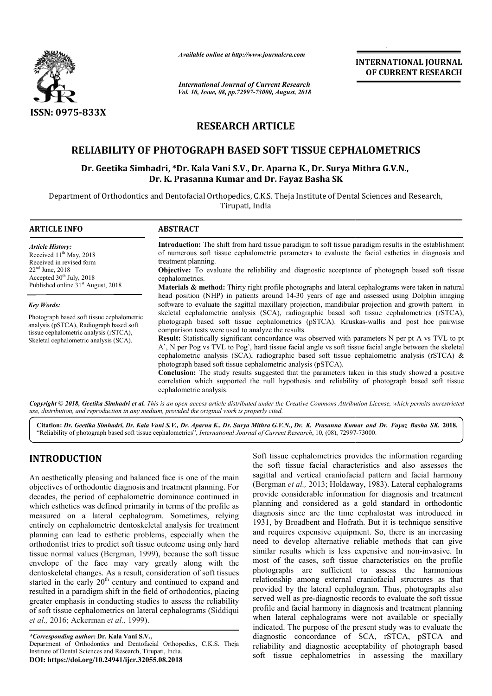

*Available online at http://www.journalcra.com*

*International Journal of Current Research Vol. 10, Issue, 08, pp.72997-73000, August, 2018* **INTERNATIONAL JOURNAL OF CURRENT RESEARCH**

# **RESEARCH ARTICLE**

# **RELIABILITY OF PHOTOGRAPH BASED SOFT TISSUE CEPHALOMETRICS RELIABILITY TISSUE CEPHALOMETRICS**

## Dr. Geetika Simhadri, \*Dr. Kala Vani S.V., Dr. Aparna K., Dr. Surya Mithra G.V.N., **Dr. K. Prasanna Kumar and Dr. Fayaz Basha SK**

Department of Orthodontics and Dentofacial Orthopedics, C.K.S. Theja Institute of Dental Sciences and Research, Tirupati, India

| <b>ARTICLE INFO</b>                                                                                                             | <b>ABSTRACT</b>                                                                                                                                                                                                                                                                                                                                                                                                                                                                                      |  |  |
|---------------------------------------------------------------------------------------------------------------------------------|------------------------------------------------------------------------------------------------------------------------------------------------------------------------------------------------------------------------------------------------------------------------------------------------------------------------------------------------------------------------------------------------------------------------------------------------------------------------------------------------------|--|--|
| <b>Article History:</b>                                                                                                         | <b>Introduction:</b> The shift from hard tissue paradigm to soft tissue paradigm results in the establishment                                                                                                                                                                                                                                                                                                                                                                                        |  |  |
| Received $11th$ May, 2018<br>Received in revised form                                                                           | of numerous soft tissue cephalometric parameters to evaluate the facial esthetics in diagnosis and<br>treatment planning.                                                                                                                                                                                                                                                                                                                                                                            |  |  |
| $22nd$ June, 2018<br>Accepted 30 <sup>th</sup> July, 2018                                                                       | <b>Objective:</b> To evaluate the reliability and diagnostic acceptance of photograph based soft tissue<br>cephalometrics.                                                                                                                                                                                                                                                                                                                                                                           |  |  |
| Published online 31 <sup>st</sup> August, 2018                                                                                  | <b>Materials &amp; method:</b> Thirty right profile photographs and lateral cephalograms were taken in natural<br>head position (NHP) in patients around 14-30 years of age and assessed using Dolphin imaging                                                                                                                                                                                                                                                                                       |  |  |
| <b>Key Words:</b>                                                                                                               | software to evaluate the sagittal maxillary projection, mandibular projection and growth pattern in                                                                                                                                                                                                                                                                                                                                                                                                  |  |  |
| Photograph based soft tissue cephalometric<br>analysis (pSTCA), Radiograph based soft<br>tissue cephalometric analysis (rSTCA), | skeletal cephalometric analysis (SCA), radiographic based soft tissue cephalometrics (rSTCA),<br>photograph based soft tissue cephalometrics (pSTCA). Kruskas-wallis and post hoc pairwise<br>comparison tests were used to analyze the results.                                                                                                                                                                                                                                                     |  |  |
| Skeletal cephalometric analysis (SCA).                                                                                          | <b>Result:</b> Statistically significant concordance was observed with parameters N per pt A vs TVL to pt<br>A', N per Pog vs TVL to Pog', hard tissue facial angle vs soft tissue facial angle between the skeletal<br>cephalometric analysis (SCA), radiographic based soft tissue cephalometric analysis (rSTCA) $\&$<br>photograph based soft tissue cephalometric analysis (pSTCA).<br><b>Conclusion:</b> The study results suggested that the parameters taken in this study showed a positive |  |  |
|                                                                                                                                 | correlation which supported the null hypothesis and reliability of photograph based soft tissue<br>cephalometric analysis.                                                                                                                                                                                                                                                                                                                                                                           |  |  |

Copyright © 2018, Geetika Simhadri et al. This is an open access article distributed under the Creative Commons Attribution License, which permits unrestrictea *use, distribution, and reproduction in any medium, provided the original work is properly cited.*

**Citation:** *Dr. Geetika Simhadri, Dr. Kala Vani S.V., Dr. Aparna K., Dr. Surya Mithra G.V.N., Dr. K. Prasanna Kumar and Kumar Dr. Fayaz Basha SK.* **2018.** "Reliability of photograph based soft tissue cephalometrics", *International Journal of Current Research*, 10, (08), 72997-73000.

# **INTRODUCTION**

An aesthetically pleasing and balanced face is one of the main objectives of orthodontic diagnosis and treatment planning. For decades, the period of cephalometric dominance continued in which esthetics was defined primarily in terms of the profile as measured on a lateral cephalogram. Sometimes, relying entirely on cephalometric dentoskeletal analysis for treatment planning can lead to esthetic problems, especially when the orthodontist tries to predict soft tissue outcome using only hard orthodontist tries to predict soft tissue outcome using only hard<br>tissue normal values (Bergman, 1999), because the soft tissue envelope of the face may vary greatly along with the dentoskeletal changes. As a result, consideration of soft tissues started in the early  $20<sup>th</sup>$  century and continued to expand and resulted in a paradigm shift in the field of orthodontics, placing greater emphasis in conducting studies to assess the reliability of soft tissue cephalometrics on lateral cephalograms (Siddiqui *et al.,* 2016; Ackerman *et al.,* 1999).

*\*Corresponding author:* **Dr. Kala Vani S.V.,**  Department of Orthodontics and Dentofacial Orthopedics, C.K.S. Theja Institute of Dental Sciences and Research, Tirupati, India. **DOI: https://doi.org/10.24941/ijcr.32055.08.2018**

Soft tissue cephalometrics provides the information regarding<br>
the soft tissue facial characteristies and also assess the<br>
treatment planning. For<br> **Elerginan et al.**, 2013; Holdaway, 1983). Lateral cephalograms<br>
dominance Soft tissue cephalometrics provides the information regarding the soft tissue facial characteristics and also assesses the sagittal and vertical craniofacial pattern and facial harmony (Bergman et al., 2013; Holdaway, 1983). Lateral cephalograms provide considerable information for diagnosis and treatment planning and considered as a gold standard in orthodontic diagnosis since are the time cephalostat was introduced in 1931, by Broadbent and Hofrath. But it is technique sensitive and requires expensive equipment. So, there is an increasing need to develop alternative reliable methods that can give similar results which is less expensive and non-invasive. In most of the cases, soft tissue characteristics on the profile photographs are sufficient to assess the harmonious relationship among external craniofacial structures as that provided by the lateral cephalogram. Thus, photographs also served well as pre-diagnostic records to evaluate the soft tissue profile and facial harmony in diagnosis and treatment planning when lateral cephalograms were not available or specially indicated. The purpose of the present study was to evaluate the diagnostic concordance of SCA, rSTCA, pSTCA and reliability and diagnostic acceptability of photograph based soft tissue cephalometrics in assessing the maxillary provide considerable information for diagnosis and treatment planning and considered as a gold standard in orthodontic diagnosis since are the time cephalostat was introduced in 1931, by Broadbent and Hofrath. But it is te requires expensive equipment. So, there is an increasing<br>I to develop alternative reliable methods that can give<br>Iar results which is less expensive and non-invasive. In **EXERVALTIONAL JOURNAL FORM CONTROLS CONTROLS CONTROLS CONTROLS (CONTROLS AND AND CONTROLS CONTROLS CONTROLS CONTROLS CONTROLS CONTROLS CONTROLS CONTROLS CONTROLS CONTROLS CONTROLS CONTROLS CONTROLS CONTROLS CONTROLS CONT**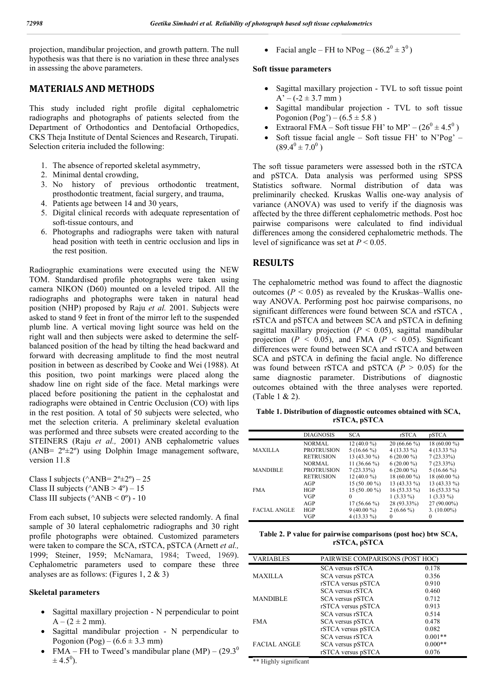projection, mandibular projection, and growth pattern. The null hypothesis was that there is no variation in these three analyses in assessing the above parameters.

## **MATERIALS AND METHODS**

This study included right profile digital cephalometric radiographs and photographs of patients selected from the Department of Orthodontics and Dentofacial Orthopedics, CKS Theja Institute of Dental Sciences and Research, Tirupati. Selection criteria included the following:

- 1. The absence of reported skeletal asymmetry,
- 2. Minimal dental crowding,
- 3. No history of previous orthodontic treatment, prosthodontic treatment, facial surgery, and trauma,
- 4. Patients age between 14 and 30 years,
- 5. Digital clinical records with adequate representation of soft-tissue contours, and
- 6. Photographs and radiographs were taken with natural head position with teeth in centric occlusion and lips in the rest position.

Radiographic examinations were executed using the NEW TOM. Standardised profile photographs were taken using camera NIKON (D60) mounted on a leveled tripod. All the radiographs and photographs were taken in natural head position (NHP) proposed by Raju *et al.* 2001. Subjects were asked to stand 9 feet in front of the mirror left to the suspended plumb line. A vertical moving light source was held on the right wall and then subjects were asked to determine the selfbalanced position of the head by tilting the head backward and forward with decreasing amplitude to find the most neutral position in between as described by Cooke and Wei (1988). At this position, two point markings were placed along the shadow line on right side of the face. Metal markings were placed before positioning the patient in the cephalostat and radiographs were obtained in Centric Occlusion (CO) with lips in the rest position. A total of 50 subjects were selected, who met the selection criteria. A preliminary skeletal evaluation was performed and three subsets were created according to the STEINERS (Raju *et al.,* 2001) ANB cephalometric values (ANB= 2º±2º) using Dolphin Image management software, version 11.8

Class I subjects ( $\triangle ANB = 2^{\circ} \pm 2^{\circ}$ ) – 25 Class II subjects ( $\triangle ANB > 4^{\circ}$ ) – 15 Class III subjects ( $\triangle ANB < 0^\circ$ ) - 10

From each subset, 10 subjects were selected randomly. A final sample of 30 lateral cephalometric radiographs and 30 right profile photographs were obtained. Customized parameters were taken to compare the SCA, rSTCA, pSTCA (Arnett *et al.,*  1999; Steiner, 1959; McNamara, 1984; Tweed, 1969). Cephalometric parameters used to compare these three analyses are as follows: (Figures 1, 2 & 3)

#### **Skeletal parameters**

- Sagittal maxillary projection N perpendicular to point  $A - (2 \pm 2 \text{ mm}).$
- Sagittal mandibular projection N perpendicular to Pogonion (Pog) –  $(6.6 \pm 3.3 \text{ mm})$
- FMA FH to Tweed's mandibular plane  $(MP) (29.3^{\circ})$  $\pm$  4.5<sup>0</sup>).

• Facial angle – FH to NPog –  $(86.2^0 \pm 3^0)$ 

#### **Soft tissue parameters**

- Sagittal maxillary projection TVL to soft tissue point  $A' - (-2 \pm 3.7$  mm)
- Sagittal mandibular projection TVL to soft tissue Pogonion (Pog') –  $(6.5 \pm 5.8)$
- Extraoral FMA Soft tissue FH' to MP'  $(26^0 \pm 4.5^0)$
- Soft tissue facial angle Soft tissue FH' to N'Pog'  $(89.4^0 \pm 7.0^0)$

The soft tissue parameters were assessed both in the rSTCA and pSTCA. Data analysis was performed using SPSS Statistics software. Normal distribution of data was preliminarily checked. Kruskas Wallis one-way analysis of variance (ANOVA) was used to verify if the diagnosis was affected by the three different cephalometric methods. Post hoc pairwise comparisons were calculated to find individual differences among the considered cephalometric methods. The level of significance was set at  $P \le 0.05$ .

#### **RESULTS**

The cephalometric method was found to affect the diagnostic outcomes ( $P < 0.05$ ) as revealed by the Kruskas–Wallis oneway ANOVA. Performing post hoc pairwise comparisons, no significant differences were found between SCA and rSTCA , rSTCA and pSTCA and between SCA and pSTCA in defining sagittal maxillary projection  $(P < 0.05)$ , sagittal mandibular projection  $(P < 0.05)$ , and FMA  $(P < 0.05)$ . Significant differences were found between SCA and rSTCA and between SCA and pSTCA in defining the facial angle. No difference was found between rSTCA and pSTCA  $(P > 0.05)$  for the same diagnostic parameter. Distributions of diagnostic outcomes obtained with the three analyses were reported. (Table 1 & 2).

**Table 1. Distribution of diagnostic outcomes obtained with SCA, rSTCA, pSTCA**

|                     | <b>DIAGNOSIS</b>  | <b>SCA</b>    | rSTCA         | pSTCA          |
|---------------------|-------------------|---------------|---------------|----------------|
| <b>MAXILLA</b>      | NORMAL            | $12(40.0\%)$  | $20(66.66\%)$ | 18 (60.00 %)   |
|                     | <b>PROTRUSION</b> | $5(16.66\%)$  | $4(13.33\%)$  | $4(13.33\%)$   |
|                     | <b>RETRUSION</b>  | 13 (43.30 %)  | $6(20.00\%)$  | $7(23.33\%)$   |
|                     | <b>NORMAL</b>     | 11 (36.66 %)  | $6(20.00\%)$  | $7(23.33\%)$   |
| <b>MANDIBLE</b>     | <b>PROTRUSION</b> | $7(23.33\%)$  | $6(20.00\%)$  | $5(16.66\%)$   |
|                     | <b>RETRUSION</b>  | $12(40.0\%)$  | $18(60.00\%)$ | 18 (60.00 %)   |
| <b>FMA</b>          | AGP               | 15 (50 .00 %) | $13(43.33\%)$ | $13(43.33\%)$  |
|                     | <b>HGP</b>        | $15(50.00\%)$ | $16(53.33\%)$ | 16 (53.33 %)   |
|                     | VGP               | 0             | $1(3.33\%)$   | $1(3.33\%)$    |
| <b>FACIAL ANGLE</b> | AGP               | 17 (56.66 %)  | 28 (93.33%)   | $27(90.00\%)$  |
|                     | HGP               | $9(40.00\%)$  | $2(6.66\%)$   | $3. (10.00\%)$ |
|                     | VGP               | $4(13.33\%)$  | $\Omega$      | $\Omega$       |

**Table 2. P value for pairwise comparisons (post hoc) btw SCA, rSTCA, pSTCA**

| <b>VARIABLES</b>    | PAIRWISE COMPARISONS (POST HOC) |           |
|---------------------|---------------------------------|-----------|
|                     | <b>SCA</b> versus rSTCA         | 0.178     |
| <b>MAXILLA</b>      | SCA versus pSTCA                | 0.356     |
|                     | rSTCA versus pSTCA              | 0.910     |
|                     | <b>SCA</b> versus rSTCA         | 0.460     |
| <b>MANDIBLE</b>     | SCA versus pSTCA                | 0.712     |
|                     | rSTCA versus pSTCA              | 0.913     |
|                     | <b>SCA</b> versus rSTCA         | 0.514     |
| <b>FMA</b>          | SCA versus pSTCA                | 0.478     |
|                     | rSTCA versus pSTCA              | 0.082     |
|                     | <b>SCA</b> versus rSTCA         | $0.001**$ |
| <b>FACIAL ANGLE</b> | SCA versus pSTCA                | $0.000**$ |
|                     | rSTCA versus pSTCA              | 0.076     |

\*\* Highly significant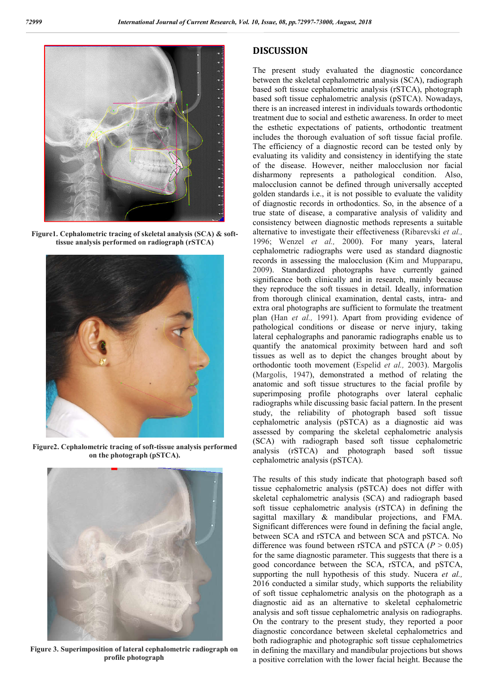

**Figure1. Cephalometric tracing of skeletal analysis (SCA) & softtissue analysis performed on radiograph (rSTCA)**



**Figure2. Cephalometric tracing of soft-tissue analysis performed on the photograph (pSTCA).**



**Figure 3. Superimposition of lateral cephalometric radiograph on profile photograph**

## **DISCUSSION**

The present study evaluated the diagnostic concordance between the skeletal cephalometric analysis (SCA), radiograph based soft tissue cephalometric analysis (rSTCA), photograph based soft tissue cephalometric analysis (pSTCA). Nowadays, there is an increased interest in individuals towards orthodontic treatment due to social and esthetic awareness. In order to meet the esthetic expectations of patients, orthodontic treatment includes the thorough evaluation of soft tissue facial profile. The efficiency of a diagnostic record can be tested only by evaluating its validity and consistency in identifying the state of the disease. However, neither malocclusion nor facial disharmony represents a pathological condition. Also, malocclusion cannot be defined through universally accepted golden standards i.e., it is not possible to evaluate the validity of diagnostic records in orthodontics. So, in the absence of a true state of disease, a comparative analysis of validity and consistency between diagnostic methods represents a suitable alternative to investigate their effectiveness (Ribarevski *et al.,*  1996; Wenzel *et al.,* 2000). For many years, lateral cephalometric radiographs were used as standard diagnostic records in assessing the malocclusion (Kim and Mupparapu, 2009). Standardized photographs have currently gained significance both clinically and in research, mainly because they reproduce the soft tissues in detail. Ideally, information from thorough clinical examination, dental casts, intra- and extra oral photographs are sufficient to formulate the treatment plan (Han *et al.,* 1991). Apart from providing evidence of pathological conditions or disease or nerve injury, taking lateral cephalographs and panoramic radiographs enable us to quantify the anatomical proximity between hard and soft tissues as well as to depict the changes brought about by orthodontic tooth movement (Espelid *et al.,* 2003). Margolis (Margolis, 1947), demonstrated a method of relating the anatomic and soft tissue structures to the facial profile by superimposing profile photographs over lateral cephalic radiographs while discussing basic facial pattern. In the present study, the reliability of photograph based soft tissue cephalometric analysis (pSTCA) as a diagnostic aid was assessed by comparing the skeletal cephalometric analysis (SCA) with radiograph based soft tissue cephalometric analysis (rSTCA) and photograph based soft tissue cephalometric analysis (pSTCA).

The results of this study indicate that photograph based soft tissue cephalometric analysis (pSTCA) does not differ with skeletal cephalometric analysis (SCA) and radiograph based soft tissue cephalometric analysis (rSTCA) in defining the sagittal maxillary & mandibular projections, and FMA. Significant differences were found in defining the facial angle, between SCA and rSTCA and between SCA and pSTCA. No difference was found between rSTCA and pSTCA  $(P > 0.05)$ for the same diagnostic parameter. This suggests that there is a good concordance between the SCA, rSTCA, and pSTCA, supporting the null hypothesis of this study. Nucera *et al.,* 2016 conducted a similar study, which supports the reliability of soft tissue cephalometric analysis on the photograph as a diagnostic aid as an alternative to skeletal cephalometric analysis and soft tissue cephalometric analysis on radiographs. On the contrary to the present study, they reported a poor diagnostic concordance between skeletal cephalometrics and both radiographic and photographic soft tissue cephalometrics in defining the maxillary and mandibular projections but shows a positive correlation with the lower facial height. Because the